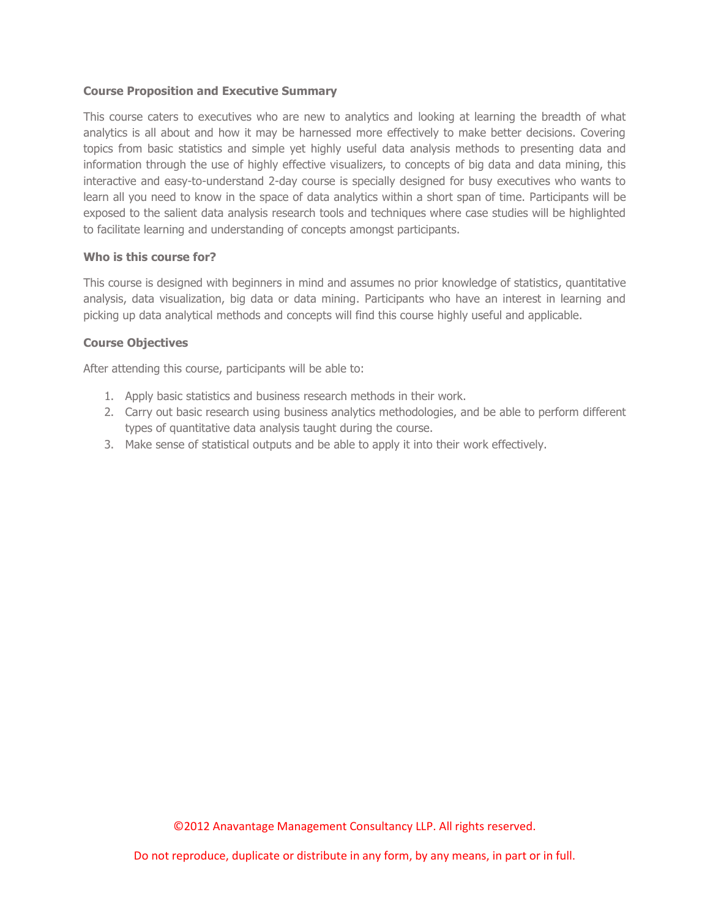## **Course Proposition and Executive Summary**

This course caters to executives who are new to analytics and looking at learning the breadth of what analytics is all about and how it may be harnessed more effectively to make better decisions. Covering topics from basic statistics and simple yet highly useful data analysis methods to presenting data and information through the use of highly effective visualizers, to concepts of big data and data mining, this interactive and easy-to-understand 2-day course is specially designed for busy executives who wants to learn all you need to know in the space of data analytics within a short span of time. Participants will be exposed to the salient data analysis research tools and techniques where case studies will be highlighted to facilitate learning and understanding of concepts amongst participants.

### **Who is this course for?**

This course is designed with beginners in mind and assumes no prior knowledge of statistics, quantitative analysis, data visualization, big data or data mining. Participants who have an interest in learning and picking up data analytical methods and concepts will find this course highly useful and applicable.

# **Course Objectives**

After attending this course, participants will be able to:

- 1. Apply basic statistics and business research methods in their work.
- 2. Carry out basic research using business analytics methodologies, and be able to perform different types of quantitative data analysis taught during the course.
- 3. Make sense of statistical outputs and be able to apply it into their work effectively.

©2012 Anavantage Management Consultancy LLP. All rights reserved.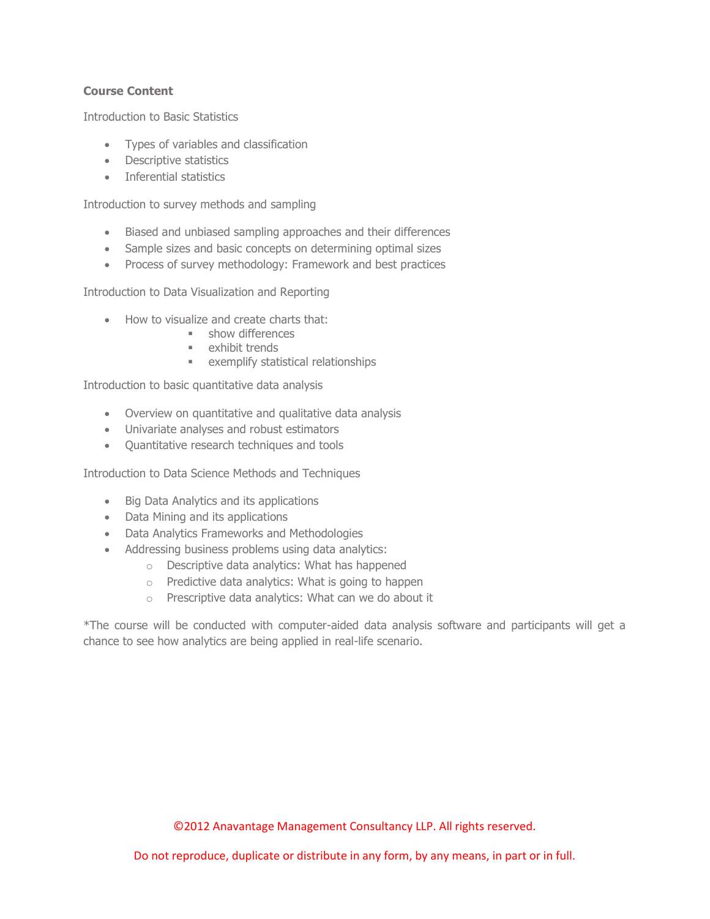# **Course Content**

Introduction to Basic Statistics

- Types of variables and classification
- Descriptive statistics
- Inferential statistics

Introduction to survey methods and sampling

- Biased and unbiased sampling approaches and their differences
- Sample sizes and basic concepts on determining optimal sizes
- Process of survey methodology: Framework and best practices

Introduction to Data Visualization and Reporting

- How to visualize and create charts that:
	- **show differences**
	- **Exhibit trends**
	- exemplify statistical relationships

Introduction to basic quantitative data analysis

- Overview on quantitative and qualitative data analysis
- Univariate analyses and robust estimators
- Quantitative research techniques and tools

Introduction to Data Science Methods and Techniques

- Big Data Analytics and its applications
- Data Mining and its applications
- Data Analytics Frameworks and Methodologies
- Addressing business problems using data analytics:
	- o Descriptive data analytics: What has happened
	- o Predictive data analytics: What is going to happen
	- o Prescriptive data analytics: What can we do about it

\*The course will be conducted with computer-aided data analysis software and participants will get a chance to see how analytics are being applied in real-life scenario.

©2012 Anavantage Management Consultancy LLP. All rights reserved.

Do not reproduce, duplicate or distribute in any form, by any means, in part or in full.